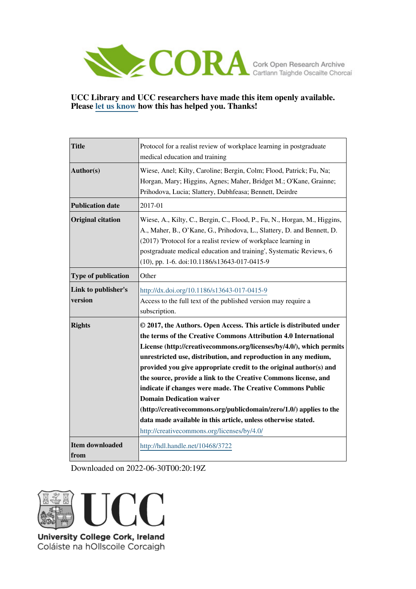

# **UCC Library and UCC researchers have made this item openly available. Please [let us know h](https://libguides.ucc.ie/openaccess/impact?suffix=3722&title=Protocol for a realist review of workplace learning in postgraduate medical education and training)ow this has helped you. Thanks!**

| <b>Title</b>                   | Protocol for a realist review of workplace learning in postgraduate<br>medical education and training                                                                                                                                                                                                                                                                                                                                                                                                                                                                                                                                                                                                             |
|--------------------------------|-------------------------------------------------------------------------------------------------------------------------------------------------------------------------------------------------------------------------------------------------------------------------------------------------------------------------------------------------------------------------------------------------------------------------------------------------------------------------------------------------------------------------------------------------------------------------------------------------------------------------------------------------------------------------------------------------------------------|
| Author(s)                      | Wiese, Anel; Kilty, Caroline; Bergin, Colm; Flood, Patrick; Fu, Na;<br>Horgan, Mary; Higgins, Agnes; Maher, Bridget M.; O'Kane, Grainne;<br>Prihodova, Lucia; Slattery, Dubhfeasa; Bennett, Deirdre                                                                                                                                                                                                                                                                                                                                                                                                                                                                                                               |
| <b>Publication date</b>        | 2017-01                                                                                                                                                                                                                                                                                                                                                                                                                                                                                                                                                                                                                                                                                                           |
| <b>Original citation</b>       | Wiese, A., Kilty, C., Bergin, C., Flood, P., Fu, N., Horgan, M., Higgins,<br>A., Maher, B., O'Kane, G., Prihodova, L., Slattery, D. and Bennett, D.<br>(2017) 'Protocol for a realist review of workplace learning in<br>postgraduate medical education and training', Systematic Reviews, 6<br>(10), pp. 1-6. doi:10.1186/s13643-017-0415-9                                                                                                                                                                                                                                                                                                                                                                      |
| <b>Type of publication</b>     | Other                                                                                                                                                                                                                                                                                                                                                                                                                                                                                                                                                                                                                                                                                                             |
| Link to publisher's<br>version | http://dx.doi.org/10.1186/s13643-017-0415-9<br>Access to the full text of the published version may require a<br>subscription.                                                                                                                                                                                                                                                                                                                                                                                                                                                                                                                                                                                    |
| <b>Rights</b>                  | © 2017, the Authors. Open Access. This article is distributed under<br>the terms of the Creative Commons Attribution 4.0 International<br>License (http://creativecommons.org/licenses/by/4.0/), which permits<br>unrestricted use, distribution, and reproduction in any medium,<br>provided you give appropriate credit to the original author(s) and<br>the source, provide a link to the Creative Commons license, and<br>indicate if changes were made. The Creative Commons Public<br><b>Domain Dedication waiver</b><br>(http://creativecommons.org/publicdomain/zero/1.0/) applies to the<br>data made available in this article, unless otherwise stated.<br>http://creativecommons.org/licenses/by/4.0/ |
| <b>Item downloaded</b><br>from | http://hdl.handle.net/10468/3722                                                                                                                                                                                                                                                                                                                                                                                                                                                                                                                                                                                                                                                                                  |

Downloaded on 2022-06-30T00:20:19Z



Coláiste na hOllscoile Corcaigh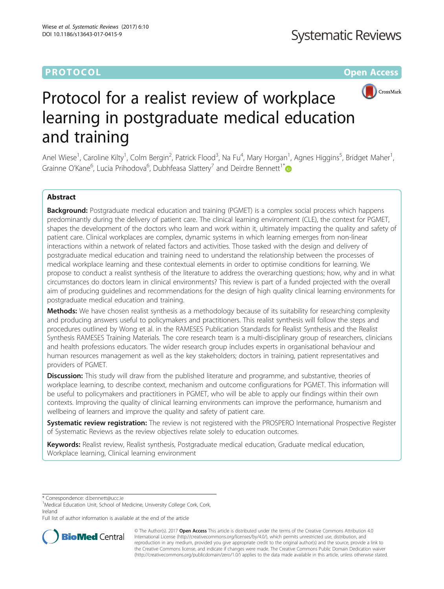# **PROTOCOL CONSUMING THE OPEN ACCESS**



# Protocol for a realist review of workplace learning in postgraduate medical education and training

Anel Wiese<sup>1</sup>, Caroline Kilty<sup>1</sup>, Colm Bergin<sup>2</sup>, Patrick Flood<sup>3</sup>, Na Fu<sup>4</sup>, Mary Horgan<sup>1</sup>, Agnes Higgins<sup>5</sup>, Bridget Maher<sup>1</sup> , Grainne O'Kane<sup>6</sup>, Lucia Prihodova<sup>6</sup>, Dubhfeasa Slattery<sup>7</sup> and Deirdre Bennett<sup>1\*</sup>

# Abstract

**Background:** Postgraduate medical education and training (PGMET) is a complex social process which happens predominantly during the delivery of patient care. The clinical learning environment (CLE), the context for PGMET, shapes the development of the doctors who learn and work within it, ultimately impacting the quality and safety of patient care. Clinical workplaces are complex, dynamic systems in which learning emerges from non-linear interactions within a network of related factors and activities. Those tasked with the design and delivery of postgraduate medical education and training need to understand the relationship between the processes of medical workplace learning and these contextual elements in order to optimise conditions for learning. We propose to conduct a realist synthesis of the literature to address the overarching questions; how, why and in what circumstances do doctors learn in clinical environments? This review is part of a funded projected with the overall aim of producing guidelines and recommendations for the design of high quality clinical learning environments for postgraduate medical education and training.

Methods: We have chosen realist synthesis as a methodology because of its suitability for researching complexity and producing answers useful to policymakers and practitioners. This realist synthesis will follow the steps and procedures outlined by Wong et al. in the RAMESES Publication Standards for Realist Synthesis and the Realist Synthesis RAMESES Training Materials. The core research team is a multi-disciplinary group of researchers, clinicians and health professions educators. The wider research group includes experts in organisational behaviour and human resources management as well as the key stakeholders; doctors in training, patient representatives and providers of PGMET.

**Discussion:** This study will draw from the published literature and programme, and substantive, theories of workplace learning, to describe context, mechanism and outcome configurations for PGMET. This information will be useful to policymakers and practitioners in PGMET, who will be able to apply our findings within their own contexts. Improving the quality of clinical learning environments can improve the performance, humanism and wellbeing of learners and improve the quality and safety of patient care.

Systematic review registration: The review is not registered with the PROSPERO International Prospective Register of Systematic Reviews as the review objectives relate solely to education outcomes.

Keywords: Realist review, Realist synthesis, Postgraduate medical education, Graduate medical education, Workplace learning, Clinical learning environment

\* Correspondence: [d.bennett@ucc.ie](mailto:d.bennett@ucc.ie) <sup>1</sup>

Full list of author information is available at the end of the article



© The Author(s). 2017 **Open Access** This article is distributed under the terms of the Creative Commons Attribution 4.0 International License [\(http://creativecommons.org/licenses/by/4.0/](http://creativecommons.org/licenses/by/4.0/)), which permits unrestricted use, distribution, and reproduction in any medium, provided you give appropriate credit to the original author(s) and the source, provide a link to the Creative Commons license, and indicate if changes were made. The Creative Commons Public Domain Dedication waiver [\(http://creativecommons.org/publicdomain/zero/1.0/](http://creativecommons.org/publicdomain/zero/1.0/)) applies to the data made available in this article, unless otherwise stated.

<sup>&</sup>lt;sup>1</sup>Medical Education Unit, School of Medicine, University College Cork, Cork, Ireland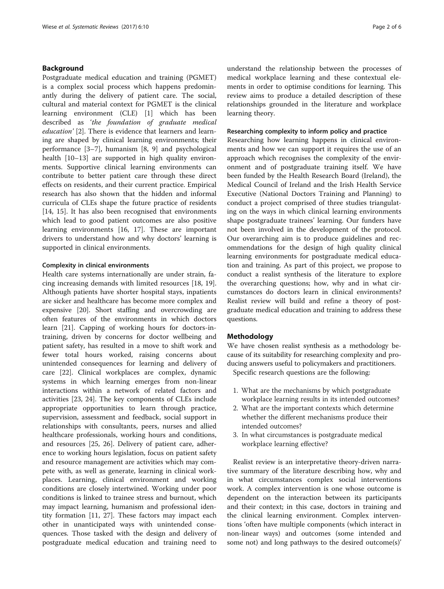# Background

Postgraduate medical education and training (PGMET) is a complex social process which happens predominantly during the delivery of patient care. The social, cultural and material context for PGMET is the clinical learning environment (CLE) [\[1](#page-5-0)] which has been described as 'the foundation of graduate medical education' [[2\]](#page-5-0). There is evidence that learners and learning are shaped by clinical learning environments; their performance [\[3](#page-5-0)–[7\]](#page-5-0), humanism [\[8](#page-5-0), [9\]](#page-5-0) and psychological health [\[10](#page-5-0)–[13\]](#page-5-0) are supported in high quality environments. Supportive clinical learning environments can contribute to better patient care through these direct effects on residents, and their current practice. Empirical research has also shown that the hidden and informal curricula of CLEs shape the future practice of residents [[14, 15\]](#page-5-0). It has also been recognised that environments which lead to good patient outcomes are also positive learning environments [\[16](#page-5-0), [17](#page-5-0)]. These are important drivers to understand how and why doctors' learning is supported in clinical environments.

# Complexity in clinical environments

Health care systems internationally are under strain, facing increasing demands with limited resources [\[18, 19](#page-5-0)]. Although patients have shorter hospital stays, inpatients are sicker and healthcare has become more complex and expensive [\[20\]](#page-5-0). Short staffing and overcrowding are often features of the environments in which doctors learn [[21\]](#page-5-0). Capping of working hours for doctors-intraining, driven by concerns for doctor wellbeing and patient safety, has resulted in a move to shift work and fewer total hours worked, raising concerns about unintended consequences for learning and delivery of care [\[22\]](#page-6-0). Clinical workplaces are complex, dynamic systems in which learning emerges from non-linear interactions within a network of related factors and activities [[23, 24](#page-6-0)]. The key components of CLEs include appropriate opportunities to learn through practice, supervision, assessment and feedback, social support in relationships with consultants, peers, nurses and allied healthcare professionals, working hours and conditions, and resources [\[25, 26](#page-6-0)]. Delivery of patient care, adherence to working hours legislation, focus on patient safety and resource management are activities which may compete with, as well as generate, learning in clinical workplaces. Learning, clinical environment and working conditions are closely intertwined. Working under poor conditions is linked to trainee stress and burnout, which may impact learning, humanism and professional identity formation [\[11](#page-5-0), [27](#page-6-0)]. These factors may impact each other in unanticipated ways with unintended consequences. Those tasked with the design and delivery of postgraduate medical education and training need to understand the relationship between the processes of medical workplace learning and these contextual elements in order to optimise conditions for learning. This review aims to produce a detailed description of these relationships grounded in the literature and workplace learning theory.

# Researching complexity to inform policy and practice

Researching how learning happens in clinical environments and how we can support it requires the use of an approach which recognises the complexity of the environment and of postgraduate training itself. We have been funded by the Health Research Board (Ireland), the Medical Council of Ireland and the Irish Health Service Executive (National Doctors Training and Planning) to conduct a project comprised of three studies triangulating on the ways in which clinical learning environments shape postgraduate trainees' learning. Our funders have not been involved in the development of the protocol. Our overarching aim is to produce guidelines and recommendations for the design of high quality clinical learning environments for postgraduate medical education and training. As part of this project, we propose to conduct a realist synthesis of the literature to explore the overarching questions; how, why and in what circumstances do doctors learn in clinical environments? Realist review will build and refine a theory of postgraduate medical education and training to address these questions.

## Methodology

We have chosen realist synthesis as a methodology because of its suitability for researching complexity and producing answers useful to policymakers and practitioners.

Specific research questions are the following:

- 1. What are the mechanisms by which postgraduate workplace learning results in its intended outcomes?
- 2. What are the important contexts which determine whether the different mechanisms produce their intended outcomes?
- 3. In what circumstances is postgraduate medical workplace learning effective?

Realist review is an interpretative theory-driven narrative summary of the literature describing how, why and in what circumstances complex social interventions work. A complex intervention is one whose outcome is dependent on the interaction between its participants and their context; in this case, doctors in training and the clinical learning environment. Complex interventions 'often have multiple components (which interact in non-linear ways) and outcomes (some intended and some not) and long pathways to the desired outcome(s)'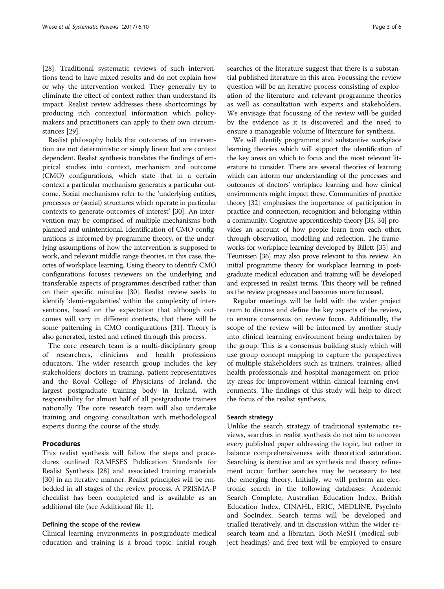[[28\]](#page-6-0). Traditional systematic reviews of such interventions tend to have mixed results and do not explain how or why the intervention worked. They generally try to eliminate the effect of context rather than understand its impact. Realist review addresses these shortcomings by producing rich contextual information which policymakers and practitioners can apply to their own circumstances [\[29\]](#page-6-0).

Realist philosophy holds that outcomes of an intervention are not deterministic or simply linear but are context dependent. Realist synthesis translates the findings of empirical studies into context, mechanism and outcome (CMO) configurations, which state that in a certain context a particular mechanism generates a particular outcome. Social mechanisms refer to the 'underlying entities, processes or (social) structures which operate in particular contexts to generate outcomes of interest' [\[30](#page-6-0)]. An intervention may be comprised of multiple mechanisms both planned and unintentional. Identification of CMO configurations is informed by programme theory, or the underlying assumptions of how the intervention is supposed to work, and relevant middle range theories, in this case, theories of workplace learning. Using theory to identify CMO configurations focuses reviewers on the underlying and transferable aspects of programmes described rather than on their specific minutiae [\[30\]](#page-6-0). Realist review seeks to identify 'demi-regularities' within the complexity of interventions, based on the expectation that although outcomes will vary in different contexts, that there will be some patterning in CMO configurations [\[31\]](#page-6-0). Theory is also generated, tested and refined through this process.

The core research team is a multi-disciplinary group of researchers, clinicians and health professions educators. The wider research group includes the key stakeholders; doctors in training, patient representatives and the Royal College of Physicians of Ireland, the largest postgraduate training body in Ireland, with responsibility for almost half of all postgraduate trainees nationally. The core research team will also undertake training and ongoing consultation with methodological experts during the course of the study.

# Procedures

This realist synthesis will follow the steps and procedures outlined RAMESES Publication Standards for Realist Synthesis [[28\]](#page-6-0) and associated training materials [[30\]](#page-6-0) in an iterative manner. Realist principles will be embedded in all stages of the review process. A PRISMA-P checklist has been completed and is available as an additional file (see Additional file [1\)](#page-5-0).

# Defining the scope of the review

Clinical learning environments in postgraduate medical education and training is a broad topic. Initial rough searches of the literature suggest that there is a substantial published literature in this area. Focussing the review question will be an iterative process consisting of exploration of the literature and relevant programme theories as well as consultation with experts and stakeholders. We envisage that focussing of the review will be guided by the evidence as it is discovered and the need to ensure a manageable volume of literature for synthesis.

We will identify programme and substantive workplace learning theories which will support the identification of the key areas on which to focus and the most relevant literature to consider. There are several theories of learning which can inform our understanding of the processes and outcomes of doctors' workplace learning and how clinical environments might impact these. Communities of practice theory [[32](#page-6-0)] emphasises the importance of participation in practice and connection, recognition and belonging within a community. Cognitive apprenticeship theory [\[33, 34\]](#page-6-0) provides an account of how people learn from each other, through observation, modelling and reflection. The frameworks for workplace learning developed by Billett [\[35\]](#page-6-0) and Teunissen [\[36\]](#page-6-0) may also prove relevant to this review. An initial programme theory for workplace learning in postgraduate medical education and training will be developed and expressed in realist terms. This theory will be refined as the review progresses and becomes more focussed.

Regular meetings will be held with the wider project team to discuss and define the key aspects of the review, to ensure consensus on review focus. Additionally, the scope of the review will be informed by another study into clinical learning environment being undertaken by the group. This is a consensus building study which will use group concept mapping to capture the perspectives of multiple stakeholders such as trainers, trainees, allied health professionals and hospital management on priority areas for improvement within clinical learning environments. The findings of this study will help to direct the focus of the realist synthesis.

# Search strategy

Unlike the search strategy of traditional systematic reviews, searches in realist synthesis do not aim to uncover every published paper addressing the topic, but rather to balance comprehensiveness with theoretical saturation. Searching is iterative and as synthesis and theory refinement occur further searches may be necessary to test the emerging theory. Initially, we will perform an electronic search in the following databases: Academic Search Complete, Australian Education Index, British Education Index, CINAHL, ERIC, MEDLINE, PsycInfo and SocIndex. Search terms will be developed and trialled iteratively, and in discussion within the wider research team and a librarian. Both MeSH (medical subject headings) and free text will be employed to ensure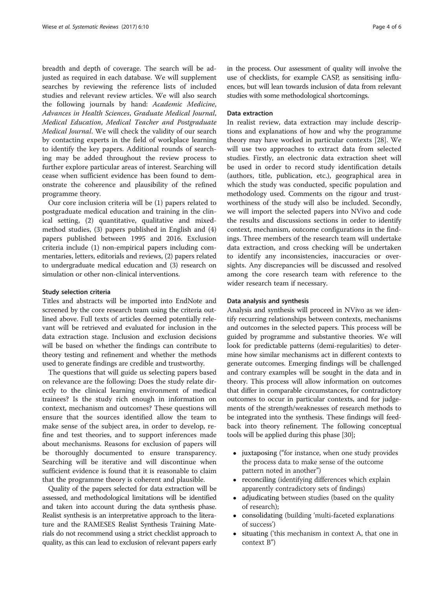breadth and depth of coverage. The search will be adjusted as required in each database. We will supplement searches by reviewing the reference lists of included studies and relevant review articles. We will also search the following journals by hand: Academic Medicine, Advances in Health Sciences, Graduate Medical Journal, Medical Education, Medical Teacher and Postgraduate Medical Journal. We will check the validity of our search by contacting experts in the field of workplace learning to identify the key papers. Additional rounds of searching may be added throughout the review process to further explore particular areas of interest. Searching will cease when sufficient evidence has been found to demonstrate the coherence and plausibility of the refined programme theory.

Our core inclusion criteria will be (1) papers related to postgraduate medical education and training in the clinical setting, (2) quantitative, qualitative and mixedmethod studies, (3) papers published in English and (4) papers published between 1995 and 2016. Exclusion criteria include (1) non-empirical papers including commentaries, letters, editorials and reviews, (2) papers related to undergraduate medical education and (3) research on simulation or other non-clinical interventions.

## Study selection criteria

Titles and abstracts will be imported into EndNote and screened by the core research team using the criteria outlined above. Full texts of articles deemed potentially relevant will be retrieved and evaluated for inclusion in the data extraction stage. Inclusion and exclusion decisions will be based on whether the findings can contribute to theory testing and refinement and whether the methods used to generate findings are credible and trustworthy.

The questions that will guide us selecting papers based on relevance are the following: Does the study relate directly to the clinical learning environment of medical trainees? Is the study rich enough in information on context, mechanism and outcomes? These questions will ensure that the sources identified allow the team to make sense of the subject area, in order to develop, refine and test theories, and to support inferences made about mechanisms. Reasons for exclusion of papers will be thoroughly documented to ensure transparency. Searching will be iterative and will discontinue when sufficient evidence is found that it is reasonable to claim that the programme theory is coherent and plausible.

Quality of the papers selected for data extraction will be assessed, and methodological limitations will be identified and taken into account during the data synthesis phase. Realist synthesis is an interpretative approach to the literature and the RAMESES Realist Synthesis Training Materials do not recommend using a strict checklist approach to quality, as this can lead to exclusion of relevant papers early in the process. Our assessment of quality will involve the use of checklists, for example CASP, as sensitising influences, but will lean towards inclusion of data from relevant studies with some methodological shortcomings.

# Data extraction

In realist review, data extraction may include descriptions and explanations of how and why the programme theory may have worked in particular contexts [[28](#page-6-0)]. We will use two approaches to extract data from selected studies. Firstly, an electronic data extraction sheet will be used in order to record study identification details (authors, title, publication, etc.), geographical area in which the study was conducted, specific population and methodology used. Comments on the rigour and trustworthiness of the study will also be included. Secondly, we will import the selected papers into NVivo and code the results and discussions sections in order to identify context, mechanism, outcome configurations in the findings. Three members of the research team will undertake data extraction, and cross checking will be undertaken to identify any inconsistencies, inaccuracies or oversights. Any discrepancies will be discussed and resolved among the core research team with reference to the wider research team if necessary.

# Data analysis and synthesis

Analysis and synthesis will proceed in NVivo as we identify recurring relationships between contexts, mechanisms and outcomes in the selected papers. This process will be guided by programme and substantive theories. We will look for predictable patterns (demi-regularities) to determine how similar mechanisms act in different contexts to generate outcomes. Emerging findings will be challenged and contrary examples will be sought in the data and in theory. This process will allow information on outcomes that differ in comparable circumstances, for contradictory outcomes to occur in particular contexts, and for judgements of the strength/weaknesses of research methods to be integrated into the synthesis. These findings will feedback into theory refinement. The following conceptual tools will be applied during this phase [[30](#page-6-0)];

- juxtaposing ("for instance, when one study provides the process data to make sense of the outcome pattern noted in another")
- reconciling (identifying differences which explain apparently contradictory sets of findings)
- adjudicating between studies (based on the quality of research);
- consolidating (building 'multi‐faceted explanations of success')
- situating ('this mechanism in context A, that one in context B")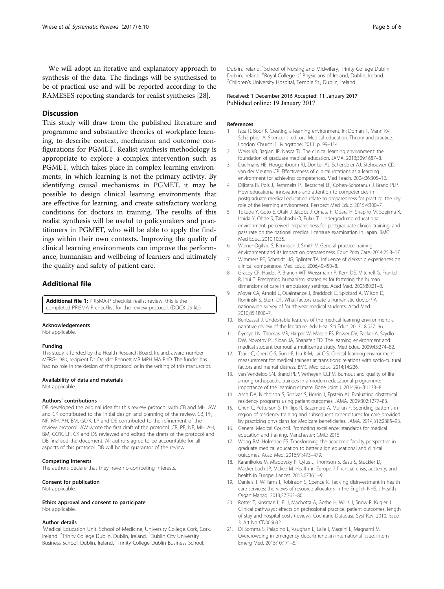<span id="page-5-0"></span>We will adopt an iterative and explanatory approach to synthesis of the data. The findings will be synthesised to be of practical use and will be reported according to the RAMESES reporting standards for realist syntheses [\[28\]](#page-6-0).

# **Discussion**

This study will draw from the published literature and programme and substantive theories of workplace learning, to describe context, mechanism and outcome configurations for PGMET. Realist synthesis methodology is appropriate to explore a complex intervention such as PGMET, which takes place in complex learning environments, in which learning is not the primary activity. By identifying causal mechanisms in PGMET, it may be possible to design clinical learning environments that are effective for learning, and create satisfactory working conditions for doctors in training. The results of this realist synthesis will be useful to policymakers and practitioners in PGMET, who will be able to apply the findings within their own contexts. Improving the quality of clinical learning environments can improve the performance, humanism and wellbeing of learners and ultimately the quality and safety of patient care.

# Additional file

[Additional file 1:](dx.doi.org/10.1186/s13643-017-0415-9) PRISMA-P checklist realist review: this is the completed PRISMA-P checklist for the review protocol. (DOCX 29 kb)

#### Acknowledgements

Not applicable.

#### Funding

This study is funded by the Health Research Board, Ireland, award number MERG-1980; recipient Dr. Deirdre Bennett MB MPH MA PhD. The funder has had no role in the design of this protocol or in the writing of this manuscript.

#### Availability of data and materials

Not applicable.

#### Authors' contributions

DB developed the original idea for this review protocol with CB and MH. AW and CK contributed to the initial design and planning of the review. CB, PF, NF, MH, AH, BM, GO'K, LP and DS contributed to the refinement of the review protocol. AW wrote the first draft of the protocol. CB, PF, NF, MH, AH, BM, GO'K, LP, CK and DS reviewed and edited the drafts of the protocol and DB finalised the document. All authors agree to be accountable for all aspects of this protocol. DB will be the guarantor of the review.

#### Competing interests

The authors declare that they have no competing interests.

#### Consent for publication

Not applicable.

### Ethics approval and consent to participate

Not applicable.

#### Author details

<sup>1</sup>Medical Education Unit, School of Medicine, University College Cork, Cork, Ireland. <sup>2</sup>Trinity College Dublin, Dublin, Ireland. <sup>3</sup>Dublin City University Business School, Dublin, Ireland. <sup>4</sup> Trinity College Dublin Business School,

Received: 1 December 2016 Accepted: 11 January 2017 Published online: 19 January 2017

#### References

- 1. Isba R, Boor K. Creating a learning environment. In: Dornan T, Mann KV, Scherpbier A, Spencer J, editors. Medical education. Theory and practice. London: Churchill Livingstone; 2011. p. 99–114.
- 2. Weiss KB, Bagian JP, Nasca TJ. The clinical learning environment: the foundation of graduate medical education. JAMA. 2013;309:1687–8.
- 3. Daelmans HE, Hoogenboom RJ, Donker AJ, Scherpbier AJ, Stehouwer CD, van der Vleuten CP. Effectiveness of clinical rotations as a learning environment for achieving competences. Med Teach. 2004;26:305–12.
- 4. Dijkstra IS, Pols J, Remmelts P, Rietzschel EF, Cohen-Schotanus J, Brand PLP. How educational innovations and attention to competencies in postgraduate medical education relate to preparedness for practice: the key role of the learning environment. Perspect Med Educ. 2015;4:300–7.
- 5. Tokuda Y, Goto E, Otaki J, Jacobs J, Omata F, Obara H, Shapiro M, Soejima K, Ishida Y, Ohde S, Takahashi O, Fukui T. Undergraduate educational environment, perceived preparedness for postgraduate clinical training, and pass rate on the national medical licensure examination in Japan. BMC Med Educ. 2010;10:35.
- 6. Wiener-Ogilvie S, Bennison J, Smith V. General practice training
- environment and its impact on preparedness. Educ Prim Care. 2014;25:8–17. 7. Wimmers PF, Schmidt HG, Splinter TA. Influence of clerkship experiences on clinical competence. Med Educ. 2006;40:450–8.
- 8. Gracey CF, Haidet P, Branch WT, Weissmann P, Kern DE, Mitchell G, Frankel R, Inui T. Precepting humanism: strategies for fostering the human dimensions of care in ambulatory settings. Acad Med. 2005;80:21–8.
- 9. Moyer CA, Arnold L, Quaintance J, Braddock C, Spickard A, Wilson D, Rominski S, Stern DT. What factors create a humanistic doctor? A nationwide survey of fourth-year medical students. Acad Med. 2010;85:1800–7.
- 10. Benbassat J. Undesirable features of the medical learning environment: a narrative review of the literature. Adv Heal Sci Educ. 2013;18:527–36.
- 11. Dyrbye LN, Thomas MR, Harper W, Massie FS, Power DV, Eacker A, Szydlo DW, Novotny PJ, Sloan JA, Shanafelt TD. The learning environment and medical student burnout: a multicentre study. Med Educ. 2009;43:274–82.
- 12. Tsai J-C, Chen C-S, Sun I-F, Liu K-M, Lai C-S. Clinical learning environment measurement for medical trainees at transitions: relations with socio-cultural factors and mental distress. BMC Med Educ. 2014;14:226.
- 13. van Vendeloo SN, Brand PLP, Verheyen CCPM. Burnout and quality of life among orthopaedic trainees in a modern educational programme: importance of the learning climate. Bone Joint J. 2014;96–B:1133–8.
- 14. Asch DA, Nicholson S, Srinivas S, Herrin J, Epstein AJ. Evaluating obstetrical residency programs using patient outcomes. JAMA. 2009;302:1277–83.
- 15. Chen C, Petterson S, Phillips R, Bazemore A, Mullan F. Spending patterns in region of residency training and subsequent expenditures for care provided by practicing physicians for Medicare beneficiaries. JAMA. 2014;312:2385–93.
- 16. General Medical Council. Promoting excellence: standards for medical education and training. Manchester: GMC; 2015.
- 17. Wong BM, Holmboe ES. Transforming the academic faculty perspective in graduate medical education to better align educational and clinical outcomes. Acad Med. 2016;91:473–479.
- 18. Karanikolos M, Mladovsky P, Cylus J, Thomson S, Basu S, Stuckler D, Mackenbach JP, Mckee M. Health in Europe 7 financial crisis, austerity, and health in Europe. Lancet. 2013;6736:1–9.
- 19. Daniels T, Williams I, Robinson S, Spence K. Tackling disinvestment in health care services: the views of resource allocators in the English NHS. J Health Organ Manag. 2013;27:762–80.
- 20. Rotter T, Kinsman L, El J, Machotta A, Gothe H, Willis J, Snow P, Kugler J. Clinical pathways : effects on professional practice, patient outcomes, length of stay and hospital costs (review). Cochrane Database Syst Rev. 2010. Issue 3. Art No.:CD006632.
- 21. Di Somma S, Paladino L, Vaughan L, Lalle I, Magrini L, Magnanti M. Overcrowding in emergency department: an international issue. Intern Emerg Med. 2015;10:171–5.